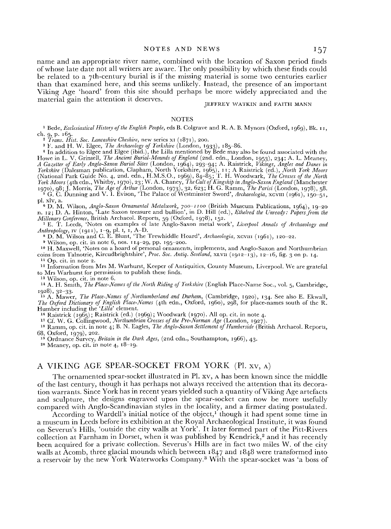# NOTES AND NEWS 157

name and an appropriate river name, combined with the location of Saxon period finds ofwhose late date not all writers are aware. The only possibility by which these finds could be related to a 7th-century burial is if the missing material is some two centuries earlier than that examined here, and this seems unlikely. Instead, the presence of an important Viking Age 'hoard' from this site should perhaps be more widely appreciated and the material gain the attention it deserves.

## JEFFREY WATKIN and FAITH MANN

### **NOTES**

<sup>1</sup> Bede, *Ecclesiastical History of the English People*, eds B. Colgrave and R. A. B. Mynors (Oxford, 1969), Bk. 11, ch. 9, p. 165.

*<sup>2</sup> Trans. Hist. Soc. Lancashire Cheshire,* new series Xl (1871), 200.

3 F. and H. W. Elgee, *The Archaeologyof Yorkshire* (London, 1933), 185-86.

<sup>4</sup> In addition to Elgee and Elgee (ibid.), the Lilla mentioned by Bede may also be found associated with the Howe in L. V. Grinsell, *The Ancient Burial-Mounds of England* (2nd. edn., London, 1953), 234; A. L. Meaney, A Gazetter of Early Anglo-Saxon Burial Sites (London, 1964), 293-94; A. Raistrick, Vikings, Angles and Danes in<br>Torkshire (Dalesman publication, Clapham, North Yorkshire, 1965), 11; A Raistrick (ed.), North York Moors<br>(Nat 1970), 98; J. Morris, *The Age of Arthur* (London, 1973), 32, 623; H. G. Ramm, *The Parisi* (London, 1978), 58.<br><sup>5</sup> G. C. Dunning and V. I. Evison, 'The Palace of Westminster Sword', *Archaeologia*, xcvIII (1961), 150–51.

pI. xlv, a. 6 D. M. Wilson, *Anglo-Saxon Ornamental Metalwork, 700-1100* (British Museum Publications, 1964), 19-20 n. 12; D. A. Hinton, 'Late Saxon treasure and bullion', in D. Hill (cd.), *Ethelred the Unready: Papersfrom the*

*Millenary Conference,* British ArchaeoI. Reports, 59 (Oxford, 1978), 152. 7 E. T. Leeds, 'Notes on examples of late Anglo-Saxon metal work', *Liverpool Annals of Archaeology and* Anthropology, 1v (1911), 1–9, pl. 1, 1, A–D.<br><sup>8</sup> D. M. Wilson and C. E. Blunt, 'The Trewhiddle Hoard', *Archaeologia*, xcv111 (1961), 120–22.<br><sup>9</sup> Wilson, op. cit. in note 6, nos. 114–29, pp. 195–200.

10 H. Maxwell, 'Notes on a hoard of personal ornaments, implements, and Anglo-Saxon and Northumbrian coins from Talnotrie, Kircudbrightshire', *Proc. Soc. Aniiq, Scotland,* XLVII (1912-13), 12-16, fig. 3 on p. 14. <sup>11</sup> Op. cit. in note 2.

12 Information from Mrs M. Warhurst, Keeper of Antiquities, County Museum, Liverpool. We are grateful to Mrs Warhurst for permission to publish these finds.

13 Wilson, op. cit. in note 6.

<sup>H</sup> A. H. Smith, *The Place-Names ofthe North Riding of Yorkshire* (English Place-Name Soc., vol. 5, Cambridge,

1928), 32-33.<br><sup>15</sup> A. Mawer, *The Place-Names of Northumberland and Durham*, (Cambridge, 1920), 134. See also E. Ekwall,<br>*The Oxford Dictionary of English Place-Names* (4th edn., Oxford, 1960), 298, for place-names south o

16 Raistrick (1965); Raistrick (ed.) (1969); Woodwark (1970). All op. cit. in note 4.

17 Cf. W. G. Collingwood, *Northumbrian Crosses of the Pre-Norman Age* (London, 1927).

16Ramm, op. cit. in note 4; B. N. Eagles, *The Anglo-Saxon Settlement* if *Humberside* (British ArchaeoI. Reports, 68, Oxford, 1979),202.

<sup>19</sup> Ordnance Survey, *Britain in the Dark Ages*, (2nd cdn., Southampton, 1966), 43.

20 Meaney, op. cit. in note 4, 18-19.

# A VIKING AGE SPEAR-SOCKET FROM YORK (PI. xv, A)

The ornamented spear-socket illustrated in PI. xv, <sup>A</sup> has been known since the middle of the last century, though it has perhaps not always received the attention that its decoration warrants. Since York has in recent years yielded such a quantity ofViking Age artefacts and sculpture, the designs engraved upon the spear-socket can now be more usefully compared with Anglo-Scandinavian styles in the locality, and a firmer dating postulated.

According to Wardell's initial notice of the object,<sup>1</sup> though it had spent some time in a museum in Leeds before its exhibition at the Royal Archaeological Institute, it was found on Severus's Hills, 'outside the city walls at York'. It later formed part of the Pitt-Rivers collection at Farnham in Dorset, when it was published by Kendrick, $2$  and it has recently been acquired for a private collection. Severus's Hills are in fact two miles W. of the city walls at Acomb, three glacial mounds which between  $1847$  and  $1848$  were transformed into a reservoir by the new York Waterworks Company." With the spear-socket was 'a boss of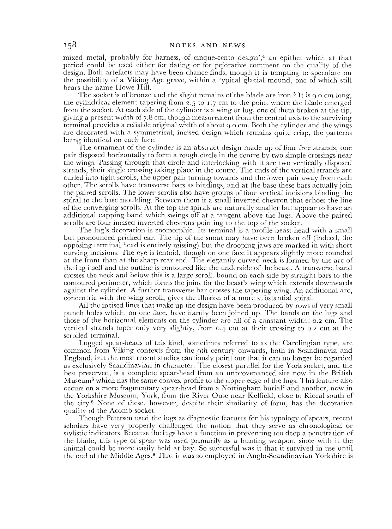mixed metal, probably for harness, of cinque-cento design',4 an epithet which at that period could be used either for dating or fix pejorative comment on the quality of the design. Both artefacts may have been chance finds, though it is tempting to speculate on the possibility of a Viking Age grave, within a typical glacial mound, one of which still bears the name Howe Hill.

The socket is of bronze and the slight remains of the blade are iron.<sup>5</sup> It is 9.0 cm long, the cylindrical element tapering from 2.5 to 1.7 em to the point where the blade emerged from the socket. At each side of the cylinder is a wing or lug, one of them broken at the tip, giving a present width of  $7.8 \text{ cm}$ , though measurement from the central axis to the surviving terminal provides a reliable original width of about g.o em. Both the cylinder and the wings are decorated with a symmetrical, incised design which remains quite crisp, the patterns being identical on each face.

The ornament of the cylinder is an abstract design made up of four free strands, one pair disposed horizontally to form a rough circle in the centre by two simple crossings near the wings. Passing through that circle and interlocking with it are two vertically disposed strands, their single crossing taking place in the centre. The ends of the vertical strands are curled into tight scrolls, the upper pair turning towards and the lower pair away from each other. The scrolls have transverse bars as bindings, and at the base these bars actually join the paired scrolls. The lower scrolls also have groups of four vertical incisions binding the spiral to the base moulding. Between them is a small inverted chevron that echoes the line of the converging scrolls. At the top the spirals are naturally smaller but appear to have an additional capping band which swings off at a tangent above the lugs. Above the paired scrolls are four incised inverted chevrons pointing to the top of the socket.

The lug's decoration is zoomorphic. Its terminal is a profile beast-head with a small but pronounced pricked ear. The tip of the snout may have been broken off (indeed, the opposing terminal head is entirely missing) but the drooping jaws are marked in with short curving incisions. The eye is lentoid, though on one face it appears slightly more rounded at the front than at the sharp rear end. The elegantly curved neck is formed by the arc of the lug itself and the outline is contoured like the underside of the beast. A transverse band crosses the neck and below this is a large scroll, bound on each side by straight bars to the contoured perimeter, which forms the joint for the beast's wing which extends downwards against the cylinder. A further transverse bar crosses the tapering wing. An additional are, concentric with the wing scroll, gives the illusion of a more substantial spiral.

All the incised lines that make up the design have been produced by rows of very small punch holes which, on one face, have hardly been joined up. The bands on the lugs and those of the horizontal elements on the cylinder are all of a constant width: 0.2 em. The vertical strands taper only very slightly, from 0.4 em at their crossing to 0.2 em at the scrolled terminal.

Lugged spear-heads of this kind, sometimes referred to as the Carolingian type, are common from Viking contexts from the gth century onwards, both in Scandinavia and England, but the most recent studies cautiously point out that it can no longer be regarded as exclusively Scandinavian in character. The closest parallel for the York socket, and the best preserved, is a complete spear-head from an unprovenanced site now in the British Museurn" which has the same convex profile to the upper edge of the lugs. This feature also occurs on a more fragmentary spear-head from a Nottingham burial<sup>7</sup> and another, now in the Yorkshire Museum, York, from the River Ouse near Kclfield, close to Riccal south of the city. $8$  None of these, however, despite their similarity of form, has the decorative quality of the Acomb socket.

Though Petersen used the lugs as diagnostic features for his typology of spears, recent scholars have very properly challenged the notion that they serve as chronological or stylistic indicators. Because the lugs have a function in preventing too deep a penetration of the blade, this type of spear was used primarily as a hunting weapon, since with it the animal could be more easily held at bay. So successful was it that it survived in use until the end of the Middle Ages.<sup>9</sup> That it was so employed in Anglo-Scandinavian Yorkshire is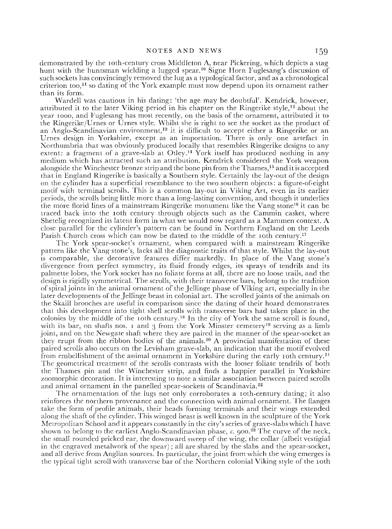demonstrated by the roth-century cross Middleton A, ncar Pickering, which depicts a stag hunt with the huntsman wielding a lugged spear.<sup>10</sup> Signe Horn Fuglesang's discussion of such sockets has convincingly removed the lug as a typological factor, and as a chronological criterion too,<sup> $11$ </sup> so dating of the York example must now depend upon its ornament rather than its form.

Wardell was cautious in his dating: 'the age may be doubtful'. Kendrick, however, attributed it to the later Viking period in his chapter on the Ringerike style.I" about the year 1000, and Fuglesang has most recently, on the basis of the ornament, attributed it to the RingerikefUrnes or Urnes style. Whilst she is right to sec the socket as the product of an Anglo-Scandinavian environment,<sup>13</sup> it is difficult to accept either a Ringerike or an Urnes design in Yorkshire, except as an importation. There is only one artefact in Northumbria that was obviously produced locally that resembles Ringerike designs to any extent: a fragment of a grave-slab at Otley.<sup>14</sup> York itself has produced nothing in any medium which has attracted such an attribution. Kendrick considered the York weapon alongside the Winchester bronze strip and the bone pin from the Thames.!" and it is accepted that in England Ringerike is basically a Southern style. Certainly the lay-out of the design on the cylinder has a superficial resemblance to the two southern objects: a figure-of-eight motif with terminal scrolls. This is a common lay-out in Viking Art, even in its earlier periods, the scrolls being little more than a long-lasting convention, and though it underlies the more florid lines of a mainstream Ringerike monument like the Vang stone<sup>16</sup> it can be traced back into the roth century through objects such as the Cammin casket, where Shetelig recognized its latent form in what we would now regard as a Mammen context. A elose parallel for the cylinder's pattern can be found in Northern England on the Leeds Parish Church cross which can now be dated to the middle of the 10th century.<sup>17</sup>

The York spear-socket's ornament, when compared with a mainstream Ringerike pattern like the Vang stone's, lacks all the diagnostic traits of that style. Whilst the lay-out is comparable, the decorative features differ markedly. **In** place of the Vang stone's divergence from perfect symmetry, its fluid frondy edges, its sprays of tendrils and its palmette lobes, the York socket has no foliate forms at all, there are no loose trails, and the design is rigidly symmetrical. The scrolls, with their transverse bars, belong to the tradition of spiral joints in the animal ornament of the Jellinge phase of Viking art, especially in the later developments of the Jellinge beast in colonial art. The scrolled joints of the animals on the Skaill brooches are useful in comparison since the dating of their hoard demonstrates that this development into tight shell scrolls with transverse bars had taken place in the colonies by the middle of the 10th century.<sup>18</sup> In the city of York the same scroll is found, with its bar, on shafts nos. I and 3 from the York Minster cemetery<sup>19</sup> serving as a limb joint, and on the Newgate shaft where they are paired in the manner of the spear-socket as they erupt from the ribbon bodies of the animals.<sup>20</sup> A provincial manifestation of these paired scrolls also occurs on the Levisham grave-slab, an indication that the motif evolved from embellishment of the animal ornament in Yorkshire during the early roth century.<sup>21</sup> The geometrical treatment of the scrolls contrasts with the looser foliate tendrils of both the Thames pin and the Winchester strip, and finds a happier parallel in Yorkshire zoomorphic decoration. It is interesting to note a similar association between paired scrolls and animal ornament in the panelled spear-sockets of Scandinavia.<sup>22</sup>

The ornamentation of the lugs not only corroborates a roth-century dating; it also reinforces the northern provenance and the connection with animal ornament. The flanges take the form of profile animals, their heads forming terminals and their wings extended along the shaft of the cylinder. This winged beast is well known in the sculpture of the York Metropolitan School and it appears constantly in the city's series of grave-slabs which I have shown to belong to the earliest Anglo-Scandinavian phase,  $c$ . 900.<sup>23</sup> The curve of the neck, the small rounded pricked ear, the downward sweep of the wing, the collar (albeit vestigial in the engraved metalwork of the spear) ; all are shared by the slabs and the spear-socket, and all derive from Anglian sources. **In** particular, the joint from which the wing emerges is the typical tight scroll with transverse bar of the Northern colonial Viking style of the roth